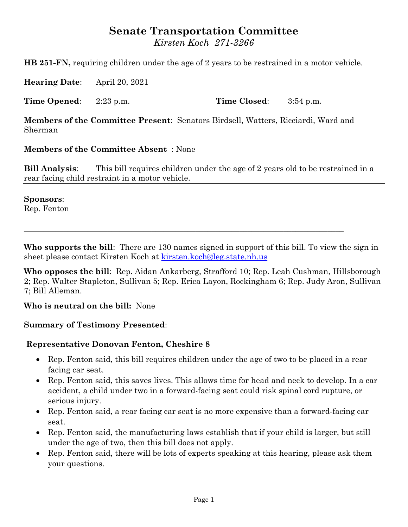# **Senate Transportation Committee**

*Kirsten Koch 271-3266*

**HB 251-FN,** requiring children under the age of 2 years to be restrained in a motor vehicle.

**Hearing Date**: April 20, 2021

**Time Opened**: 2:23 p.m. **Time Closed**: 3:54 p.m.

**Members of the Committee Present**: Senators Birdsell, Watters, Ricciardi, Ward and Sherman

#### **Members of the Committee Absent** : None

**Bill Analysis**: This bill requires children under the age of 2 years old to be restrained in a rear facing child restraint in a motor vehicle.

#### **Sponsors**:

Rep. Fenton

**Who supports the bill**: There are 130 names signed in support of this bill. To view the sign in sheet please contact Kirsten Koch at [kirsten.koch@leg.state.nh.us](mailto:kirsten.koch@leg.state.nh.us)

 $\_$  , and the set of the set of the set of the set of the set of the set of the set of the set of the set of the set of the set of the set of the set of the set of the set of the set of the set of the set of the set of th

**Who opposes the bill**: Rep. Aidan Ankarberg, Strafford 10; Rep. Leah Cushman, Hillsborough 2; Rep. Walter Stapleton, Sullivan 5; Rep. Erica Layon, Rockingham 6; Rep. Judy Aron, Sullivan 7; Bill Alleman.

**Who is neutral on the bill:** None

#### **Summary of Testimony Presented**:

#### **Representative Donovan Fenton, Cheshire 8**

- Rep. Fenton said, this bill requires children under the age of two to be placed in a rear facing car seat.
- Rep. Fenton said, this saves lives. This allows time for head and neck to develop. In a car accident, a child under two in a forward-facing seat could risk spinal cord rupture, or serious injury.
- Rep. Fenton said, a rear facing car seat is no more expensive than a forward-facing car seat.
- Rep. Fenton said, the manufacturing laws establish that if your child is larger, but still under the age of two, then this bill does not apply.
- Rep. Fenton said, there will be lots of experts speaking at this hearing, please ask them your questions.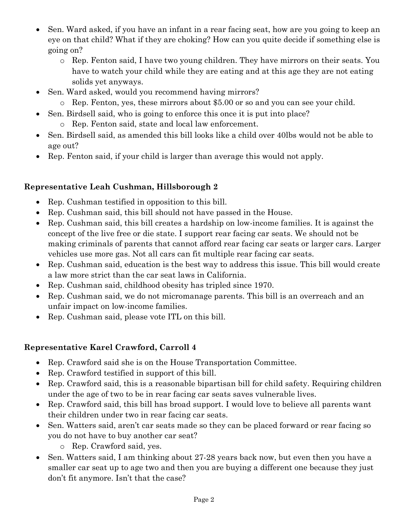- Sen. Ward asked, if you have an infant in a rear facing seat, how are you going to keep an eye on that child? What if they are choking? How can you quite decide if something else is going on?
	- o Rep. Fenton said, I have two young children. They have mirrors on their seats. You have to watch your child while they are eating and at this age they are not eating solids yet anyways.
- Sen. Ward asked, would you recommend having mirrors?
	- o Rep. Fenton, yes, these mirrors about \$5.00 or so and you can see your child.
- Sen. Birdsell said, who is going to enforce this once it is put into place?
	- o Rep. Fenton said, state and local law enforcement.
- Sen. Birdsell said, as amended this bill looks like a child over 40lbs would not be able to age out?
- Rep. Fenton said, if your child is larger than average this would not apply.

## **Representative Leah Cushman, Hillsborough 2**

- Rep. Cushman testified in opposition to this bill.
- Rep. Cushman said, this bill should not have passed in the House.
- Rep. Cushman said, this bill creates a hardship on low-income families. It is against the concept of the live free or die state. I support rear facing car seats. We should not be making criminals of parents that cannot afford rear facing car seats or larger cars. Larger vehicles use more gas. Not all cars can fit multiple rear facing car seats.
- Rep. Cushman said, education is the best way to address this issue. This bill would create a law more strict than the car seat laws in California.
- Rep. Cushman said, childhood obesity has tripled since 1970.
- Rep. Cushman said, we do not micromanage parents. This bill is an overreach and an unfair impact on low-income families.
- Rep. Cushman said, please vote ITL on this bill.

### **Representative Karel Crawford, Carroll 4**

- Rep. Crawford said she is on the House Transportation Committee.
- Rep. Crawford testified in support of this bill.
- Rep. Crawford said, this is a reasonable bipartisan bill for child safety. Requiring children under the age of two to be in rear facing car seats saves vulnerable lives.
- Rep. Crawford said, this bill has broad support. I would love to believe all parents want their children under two in rear facing car seats.
- Sen. Watters said, aren't car seats made so they can be placed forward or rear facing so you do not have to buy another car seat?
	- o Rep. Crawford said, yes.
- Sen. Watters said, I am thinking about 27-28 years back now, but even then you have a smaller car seat up to age two and then you are buying a different one because they just don't fit anymore. Isn't that the case?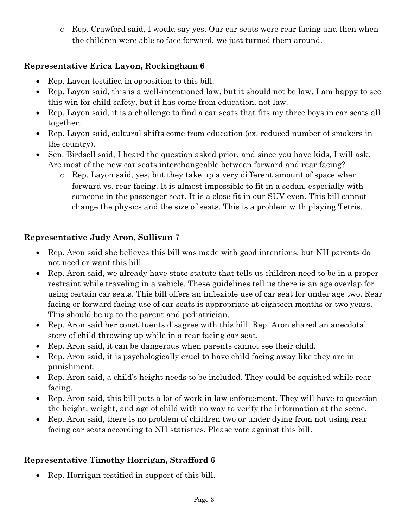o Rep. Crawford said, I would say yes. Our car seats were rear facing and then when the children were able to face forward, we just turned them around.

# **Representative Erica Layon, Rockingham 6**

- Rep. Layon testified in opposition to this bill.
- Rep. Layon said, this is a well-intentioned law, but it should not be law. I am happy to see this win for child safety, but it has come from education, not law.
- Rep. Layon said, it is a challenge to find a car seats that fits my three boys in car seats all together.
- Rep. Layon said, cultural shifts come from education (ex. reduced number of smokers in the country).
- Sen. Birdsell said, I heard the question asked prior, and since you have kids, I will ask. Are most of the new car seats interchangeable between forward and rear facing?
	- o Rep. Layon said, yes, but they take up a very different amount of space when forward vs. rear facing. It is almost impossible to fit in a sedan, especially with someone in the passenger seat. It is a close fit in our SUV even. This bill cannot change the physics and the size of seats. This is a problem with playing Tetris.

## **Representative Judy Aron, Sullivan 7**

- Rep. Aron said she believes this bill was made with good intentions, but NH parents do not need or want this bill.
- Rep. Aron said, we already have state statute that tells us children need to be in a proper restraint while traveling in a vehicle. These guidelines tell us there is an age overlap for using certain car seats. This bill offers an inflexible use of car seat for under age two. Rear facing or forward facing use of car seats is appropriate at eighteen months or two years. This should be up to the parent and pediatrician.
- Rep. Aron said her constituents disagree with this bill. Rep. Aron shared an anecdotal story of child throwing up while in a rear facing car seat.
- Rep. Aron said, it can be dangerous when parents cannot see their child.
- Rep. Aron said, it is psychologically cruel to have child facing away like they are in punishment.
- Rep. Aron said, a child's height needs to be included. They could be squished while rear facing.
- Rep. Aron said, this bill puts a lot of work in law enforcement. They will have to question the height, weight, and age of child with no way to verify the information at the scene.
- Rep. Aron said, there is no problem of children two or under dying from not using rear facing car seats according to NH statistics. Please vote against this bill.

# **Representative Timothy Horrigan, Strafford 6**

• Rep. Horrigan testified in support of this bill.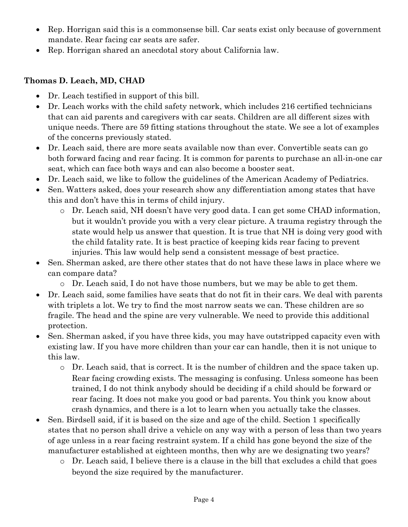- Rep. Horrigan said this is a commonsense bill. Car seats exist only because of government mandate. Rear facing car seats are safer.
- Rep. Horrigan shared an anecdotal story about California law.

### **Thomas D. Leach, MD, CHAD**

- Dr. Leach testified in support of this bill.
- Dr. Leach works with the child safety network, which includes 216 certified technicians that can aid parents and caregivers with car seats. Children are all different sizes with unique needs. There are 59 fitting stations throughout the state. We see a lot of examples of the concerns previously stated.
- Dr. Leach said, there are more seats available now than ever. Convertible seats can go both forward facing and rear facing. It is common for parents to purchase an all-in-one car seat, which can face both ways and can also become a booster seat.
- Dr. Leach said, we like to follow the guidelines of the American Academy of Pediatrics.
- Sen. Watters asked, does your research show any differentiation among states that have this and don't have this in terms of child injury.
	- o Dr. Leach said, NH doesn't have very good data. I can get some CHAD information, but it wouldn't provide you with a very clear picture. A trauma registry through the state would help us answer that question. It is true that NH is doing very good with the child fatality rate. It is best practice of keeping kids rear facing to prevent injuries. This law would help send a consistent message of best practice.
- Sen. Sherman asked, are there other states that do not have these laws in place where we can compare data?
	- o Dr. Leach said, I do not have those numbers, but we may be able to get them.
- Dr. Leach said, some families have seats that do not fit in their cars. We deal with parents with triplets a lot. We try to find the most narrow seats we can. These children are so fragile. The head and the spine are very vulnerable. We need to provide this additional protection.
- Sen. Sherman asked, if you have three kids, you may have outstripped capacity even with existing law. If you have more children than your car can handle, then it is not unique to this law.
	- $\circ$  Dr. Leach said, that is correct. It is the number of children and the space taken up. Rear facing crowding exists. The messaging is confusing. Unless someone has been trained, I do not think anybody should be deciding if a child should be forward or rear facing. It does not make you good or bad parents. You think you know about crash dynamics, and there is a lot to learn when you actually take the classes.
- Sen. Birdsell said, if it is based on the size and age of the child. Section 1 specifically states that no person shall drive a vehicle on any way with a person of less than two years of age unless in a rear facing restraint system. If a child has gone beyond the size of the manufacturer established at eighteen months, then why are we designating two years?
	- o Dr. Leach said, I believe there is a clause in the bill that excludes a child that goes beyond the size required by the manufacturer.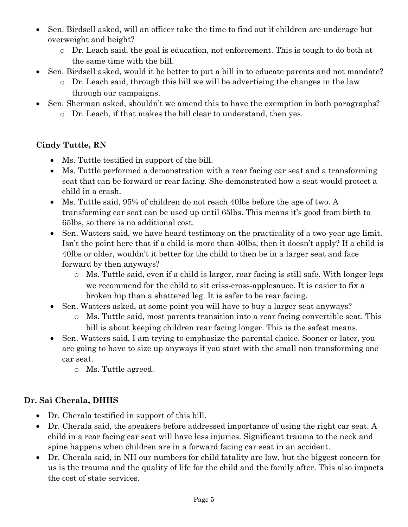- Sen. Birdsell asked, will an officer take the time to find out if children are underage but overweight and height?
	- o Dr. Leach said, the goal is education, not enforcement. This is tough to do both at the same time with the bill.
- Sen. Birdsell asked, would it be better to put a bill in to educate parents and not mandate?
	- o Dr. Leach said, through this bill we will be advertising the changes in the law through our campaigns.
- Sen. Sherman asked, shouldn't we amend this to have the exemption in both paragraphs?
	- o Dr. Leach, if that makes the bill clear to understand, then yes.

### **Cindy Tuttle, RN**

- Ms. Tuttle testified in support of the bill.
- Ms. Tuttle performed a demonstration with a rear facing car seat and a transforming seat that can be forward or rear facing. She demonstrated how a seat would protect a child in a crash.
- Ms. Tuttle said, 95% of children do not reach 40lbs before the age of two. A transforming car seat can be used up until 65lbs. This means it's good from birth to 65lbs, so there is no additional cost.
- Sen. Watters said, we have heard testimony on the practicality of a two-year age limit. Isn't the point here that if a child is more than 40lbs, then it doesn't apply? If a child is 40lbs or older, wouldn't it better for the child to then be in a larger seat and face forward by then anyways?
	- o Ms. Tuttle said, even if a child is larger, rear facing is still safe. With longer legs we recommend for the child to sit criss-cross-applesauce. It is easier to fix a broken hip than a shattered leg. It is safer to be rear facing.
- Sen. Watters asked, at some point you will have to buy a larger seat anyways?
	- o Ms. Tuttle said, most parents transition into a rear facing convertible seat. This bill is about keeping children rear facing longer. This is the safest means.
- Sen. Watters said, I am trying to emphasize the parental choice. Sooner or later, you are going to have to size up anyways if you start with the small non transforming one car seat.
	- o Ms. Tuttle agreed.

### **Dr. Sai Cherala, DHHS**

- Dr. Cherala testified in support of this bill.
- Dr. Cherala said, the speakers before addressed importance of using the right car seat. A child in a rear facing car seat will have less injuries. Significant trauma to the neck and spine happens when children are in a forward facing car seat in an accident.
- Dr. Cherala said, in NH our numbers for child fatality are low, but the biggest concern for us is the trauma and the quality of life for the child and the family after. This also impacts the cost of state services.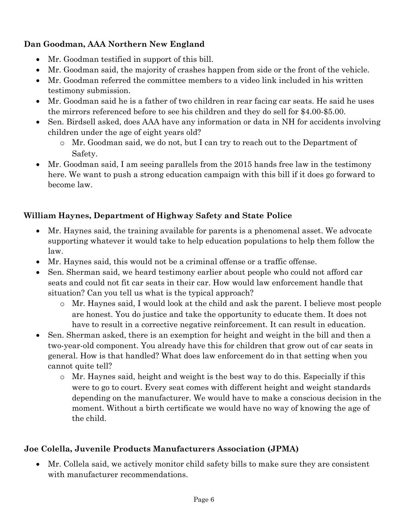# **Dan Goodman, AAA Northern New England**

- Mr. Goodman testified in support of this bill.
- Mr. Goodman said, the majority of crashes happen from side or the front of the vehicle.
- Mr. Goodman referred the committee members to a video link included in his written testimony submission.
- Mr. Goodman said he is a father of two children in rear facing car seats. He said he uses the mirrors referenced before to see his children and they do sell for \$4.00-\$5.00.
- Sen. Birdsell asked, does AAA have any information or data in NH for accidents involving children under the age of eight years old?
	- o Mr. Goodman said, we do not, but I can try to reach out to the Department of Safety.
- Mr. Goodman said, I am seeing parallels from the 2015 hands free law in the testimony here. We want to push a strong education campaign with this bill if it does go forward to become law.

# **William Haynes, Department of Highway Safety and State Police**

- Mr. Haynes said, the training available for parents is a phenomenal asset. We advocate supporting whatever it would take to help education populations to help them follow the law.
- Mr. Haynes said, this would not be a criminal offense or a traffic offense.
- Sen. Sherman said, we heard testimony earlier about people who could not afford car seats and could not fit car seats in their car. How would law enforcement handle that situation? Can you tell us what is the typical approach?
	- o Mr. Haynes said, I would look at the child and ask the parent. I believe most people are honest. You do justice and take the opportunity to educate them. It does not have to result in a corrective negative reinforcement. It can result in education.
- Sen. Sherman asked, there is an exemption for height and weight in the bill and then a two-year-old component. You already have this for children that grow out of car seats in general. How is that handled? What does law enforcement do in that setting when you cannot quite tell?
	- o Mr. Haynes said, height and weight is the best way to do this. Especially if this were to go to court. Every seat comes with different height and weight standards depending on the manufacturer. We would have to make a conscious decision in the moment. Without a birth certificate we would have no way of knowing the age of the child.

# **Joe Colella, Juvenile Products Manufacturers Association (JPMA)**

 Mr. Collela said, we actively monitor child safety bills to make sure they are consistent with manufacturer recommendations.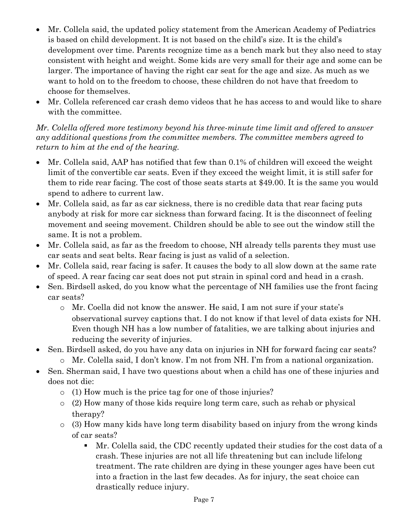- Mr. Collela said, the updated policy statement from the American Academy of Pediatrics is based on child development. It is not based on the child's size. It is the child's development over time. Parents recognize time as a bench mark but they also need to stay consistent with height and weight. Some kids are very small for their age and some can be larger. The importance of having the right car seat for the age and size. As much as we want to hold on to the freedom to choose, these children do not have that freedom to choose for themselves.
- Mr. Collela referenced car crash demo videos that he has access to and would like to share with the committee.

#### *Mr. Colella offered more testimony beyond his three-minute time limit and offered to answer any additional questions from the committee members. The committee members agreed to return to him at the end of the hearing.*

- Mr. Collela said, AAP has notified that few than 0.1% of children will exceed the weight limit of the convertible car seats. Even if they exceed the weight limit, it is still safer for them to ride rear facing. The cost of those seats starts at \$49.00. It is the same you would spend to adhere to current law.
- Mr. Collela said, as far as car sickness, there is no credible data that rear facing puts anybody at risk for more car sickness than forward facing. It is the disconnect of feeling movement and seeing movement. Children should be able to see out the window still the same. It is not a problem.
- Mr. Collela said, as far as the freedom to choose, NH already tells parents they must use car seats and seat belts. Rear facing is just as valid of a selection.
- Mr. Collela said, rear facing is safer. It causes the body to all slow down at the same rate of speed. A rear facing car seat does not put strain in spinal cord and head in a crash.
- Sen. Birdsell asked, do you know what the percentage of NH families use the front facing car seats?
	- o Mr. Coella did not know the answer. He said, I am not sure if your state's observational survey captions that. I do not know if that level of data exists for NH. Even though NH has a low number of fatalities, we are talking about injuries and reducing the severity of injuries.
- Sen. Birdsell asked, do you have any data on injuries in NH for forward facing car seats? o Mr. Colella said, I don't know. I'm not from NH. I'm from a national organization.
- Sen. Sherman said, I have two questions about when a child has one of these injuries and does not die:
	- o (1) How much is the price tag for one of those injuries?
	- $\circ$  (2) How many of those kids require long term care, such as rehab or physical therapy?
	- o (3) How many kids have long term disability based on injury from the wrong kinds of car seats?
		- Mr. Colella said, the CDC recently updated their studies for the cost data of a crash. These injuries are not all life threatening but can include lifelong treatment. The rate children are dying in these younger ages have been cut into a fraction in the last few decades. As for injury, the seat choice can drastically reduce injury.